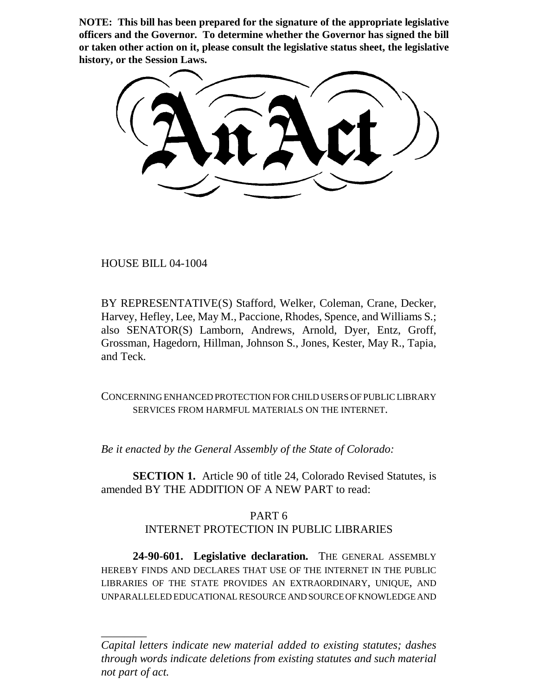**NOTE: This bill has been prepared for the signature of the appropriate legislative officers and the Governor. To determine whether the Governor has signed the bill or taken other action on it, please consult the legislative status sheet, the legislative history, or the Session Laws.**

HOUSE BILL 04-1004

\_\_\_\_\_\_\_\_

BY REPRESENTATIVE(S) Stafford, Welker, Coleman, Crane, Decker, Harvey, Hefley, Lee, May M., Paccione, Rhodes, Spence, and Williams S.; also SENATOR(S) Lamborn, Andrews, Arnold, Dyer, Entz, Groff, Grossman, Hagedorn, Hillman, Johnson S., Jones, Kester, May R., Tapia, and Teck.

CONCERNING ENHANCED PROTECTION FOR CHILD USERS OF PUBLIC LIBRARY SERVICES FROM HARMFUL MATERIALS ON THE INTERNET.

*Be it enacted by the General Assembly of the State of Colorado:*

**SECTION 1.** Article 90 of title 24, Colorado Revised Statutes, is amended BY THE ADDITION OF A NEW PART to read:

## PART 6 INTERNET PROTECTION IN PUBLIC LIBRARIES

**24-90-601. Legislative declaration.** THE GENERAL ASSEMBLY HEREBY FINDS AND DECLARES THAT USE OF THE INTERNET IN THE PUBLIC LIBRARIES OF THE STATE PROVIDES AN EXTRAORDINARY, UNIQUE, AND UNPARALLELED EDUCATIONAL RESOURCE AND SOURCE OF KNOWLEDGE AND

*Capital letters indicate new material added to existing statutes; dashes through words indicate deletions from existing statutes and such material not part of act.*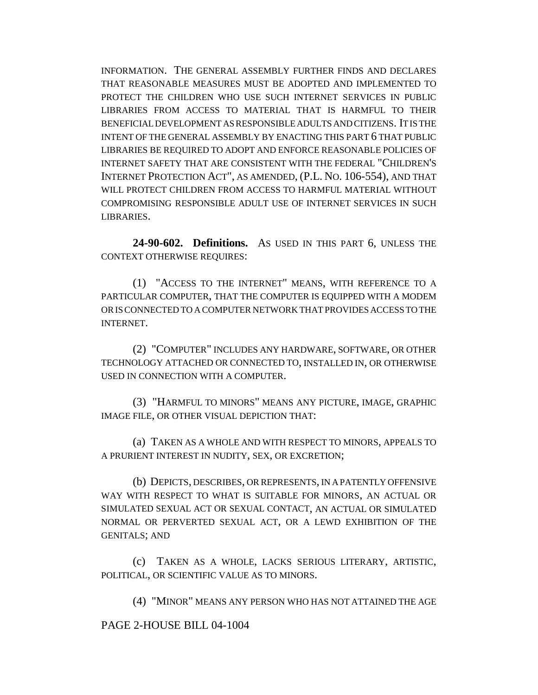INFORMATION. THE GENERAL ASSEMBLY FURTHER FINDS AND DECLARES THAT REASONABLE MEASURES MUST BE ADOPTED AND IMPLEMENTED TO PROTECT THE CHILDREN WHO USE SUCH INTERNET SERVICES IN PUBLIC LIBRARIES FROM ACCESS TO MATERIAL THAT IS HARMFUL TO THEIR BENEFICIAL DEVELOPMENT AS RESPONSIBLE ADULTS AND CITIZENS. IT IS THE INTENT OF THE GENERAL ASSEMBLY BY ENACTING THIS PART 6 THAT PUBLIC LIBRARIES BE REQUIRED TO ADOPT AND ENFORCE REASONABLE POLICIES OF INTERNET SAFETY THAT ARE CONSISTENT WITH THE FEDERAL "CHILDREN'S INTERNET PROTECTION ACT", AS AMENDED, (P.L. NO. 106-554), AND THAT WILL PROTECT CHILDREN FROM ACCESS TO HARMFUL MATERIAL WITHOUT COMPROMISING RESPONSIBLE ADULT USE OF INTERNET SERVICES IN SUCH LIBRARIES.

**24-90-602. Definitions.** AS USED IN THIS PART 6, UNLESS THE CONTEXT OTHERWISE REQUIRES:

(1) "ACCESS TO THE INTERNET" MEANS, WITH REFERENCE TO A PARTICULAR COMPUTER, THAT THE COMPUTER IS EQUIPPED WITH A MODEM OR IS CONNECTED TO A COMPUTER NETWORK THAT PROVIDES ACCESS TO THE INTERNET.

(2) "COMPUTER" INCLUDES ANY HARDWARE, SOFTWARE, OR OTHER TECHNOLOGY ATTACHED OR CONNECTED TO, INSTALLED IN, OR OTHERWISE USED IN CONNECTION WITH A COMPUTER.

(3) "HARMFUL TO MINORS" MEANS ANY PICTURE, IMAGE, GRAPHIC IMAGE FILE, OR OTHER VISUAL DEPICTION THAT:

(a) TAKEN AS A WHOLE AND WITH RESPECT TO MINORS, APPEALS TO A PRURIENT INTEREST IN NUDITY, SEX, OR EXCRETION;

(b) DEPICTS, DESCRIBES, OR REPRESENTS, IN A PATENTLY OFFENSIVE WAY WITH RESPECT TO WHAT IS SUITABLE FOR MINORS, AN ACTUAL OR SIMULATED SEXUAL ACT OR SEXUAL CONTACT, AN ACTUAL OR SIMULATED NORMAL OR PERVERTED SEXUAL ACT, OR A LEWD EXHIBITION OF THE GENITALS; AND

(c) TAKEN AS A WHOLE, LACKS SERIOUS LITERARY, ARTISTIC, POLITICAL, OR SCIENTIFIC VALUE AS TO MINORS.

(4) "MINOR" MEANS ANY PERSON WHO HAS NOT ATTAINED THE AGE

PAGE 2-HOUSE BILL 04-1004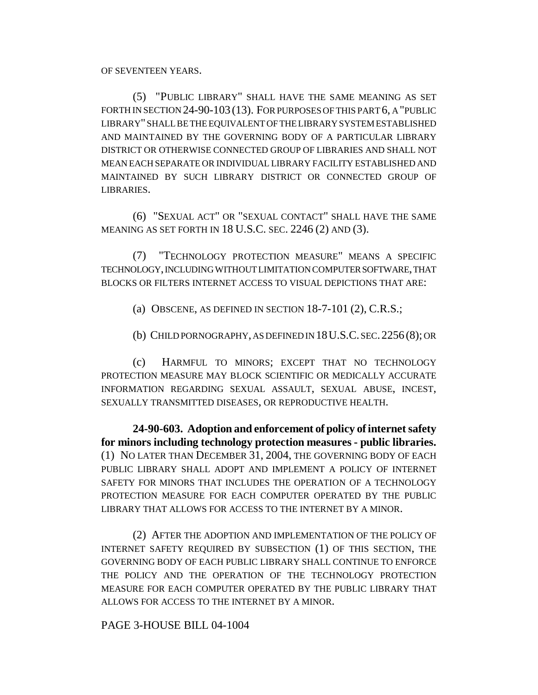OF SEVENTEEN YEARS.

(5) "PUBLIC LIBRARY" SHALL HAVE THE SAME MEANING AS SET FORTH IN SECTION 24-90-103 (13). FOR PURPOSES OF THIS PART 6, A "PUBLIC LIBRARY" SHALL BE THE EQUIVALENT OF THE LIBRARY SYSTEM ESTABLISHED AND MAINTAINED BY THE GOVERNING BODY OF A PARTICULAR LIBRARY DISTRICT OR OTHERWISE CONNECTED GROUP OF LIBRARIES AND SHALL NOT MEAN EACH SEPARATE OR INDIVIDUAL LIBRARY FACILITY ESTABLISHED AND MAINTAINED BY SUCH LIBRARY DISTRICT OR CONNECTED GROUP OF LIBRARIES.

(6) "SEXUAL ACT" OR "SEXUAL CONTACT" SHALL HAVE THE SAME MEANING AS SET FORTH IN 18 U.S.C. SEC. 2246 (2) AND (3).

(7) "TECHNOLOGY PROTECTION MEASURE" MEANS A SPECIFIC TECHNOLOGY, INCLUDING WITHOUT LIMITATION COMPUTER SOFTWARE, THAT BLOCKS OR FILTERS INTERNET ACCESS TO VISUAL DEPICTIONS THAT ARE:

(a) OBSCENE, AS DEFINED IN SECTION 18-7-101 (2), C.R.S.;

(b) CHILD PORNOGRAPHY, AS DEFINED IN 18U.S.C. SEC.2256 (8); OR

(c) HARMFUL TO MINORS; EXCEPT THAT NO TECHNOLOGY PROTECTION MEASURE MAY BLOCK SCIENTIFIC OR MEDICALLY ACCURATE INFORMATION REGARDING SEXUAL ASSAULT, SEXUAL ABUSE, INCEST, SEXUALLY TRANSMITTED DISEASES, OR REPRODUCTIVE HEALTH.

**24-90-603. Adoption and enforcement of policy of internet safety for minors including technology protection measures - public libraries.** (1) NO LATER THAN DECEMBER 31, 2004, THE GOVERNING BODY OF EACH PUBLIC LIBRARY SHALL ADOPT AND IMPLEMENT A POLICY OF INTERNET SAFETY FOR MINORS THAT INCLUDES THE OPERATION OF A TECHNOLOGY PROTECTION MEASURE FOR EACH COMPUTER OPERATED BY THE PUBLIC LIBRARY THAT ALLOWS FOR ACCESS TO THE INTERNET BY A MINOR.

(2) AFTER THE ADOPTION AND IMPLEMENTATION OF THE POLICY OF INTERNET SAFETY REQUIRED BY SUBSECTION (1) OF THIS SECTION, THE GOVERNING BODY OF EACH PUBLIC LIBRARY SHALL CONTINUE TO ENFORCE THE POLICY AND THE OPERATION OF THE TECHNOLOGY PROTECTION MEASURE FOR EACH COMPUTER OPERATED BY THE PUBLIC LIBRARY THAT ALLOWS FOR ACCESS TO THE INTERNET BY A MINOR.

PAGE 3-HOUSE BILL 04-1004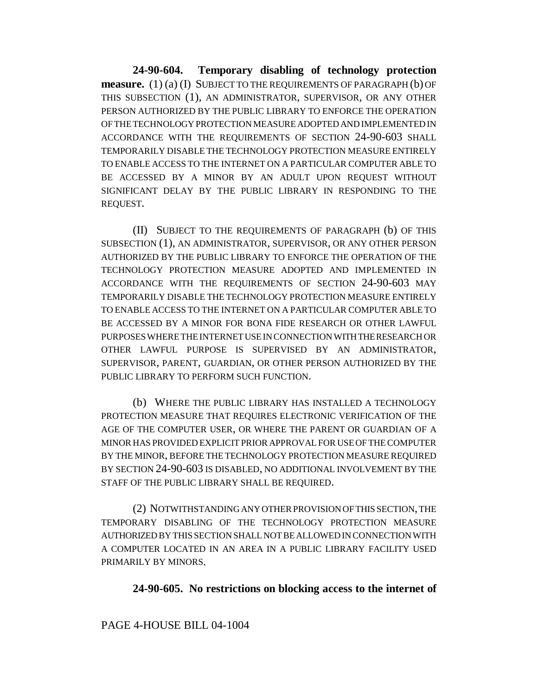**24-90-604. Temporary disabling of technology protection measure.** (1) (a) (I) SUBJECT TO THE REQUIREMENTS OF PARAGRAPH (b) OF THIS SUBSECTION (1), AN ADMINISTRATOR, SUPERVISOR, OR ANY OTHER PERSON AUTHORIZED BY THE PUBLIC LIBRARY TO ENFORCE THE OPERATION OF THE TECHNOLOGY PROTECTION MEASURE ADOPTED AND IMPLEMENTED IN ACCORDANCE WITH THE REQUIREMENTS OF SECTION 24-90-603 SHALL TEMPORARILY DISABLE THE TECHNOLOGY PROTECTION MEASURE ENTIRELY TO ENABLE ACCESS TO THE INTERNET ON A PARTICULAR COMPUTER ABLE TO BE ACCESSED BY A MINOR BY AN ADULT UPON REQUEST WITHOUT SIGNIFICANT DELAY BY THE PUBLIC LIBRARY IN RESPONDING TO THE REQUEST.

(II) SUBJECT TO THE REQUIREMENTS OF PARAGRAPH (b) OF THIS SUBSECTION (1), AN ADMINISTRATOR, SUPERVISOR, OR ANY OTHER PERSON AUTHORIZED BY THE PUBLIC LIBRARY TO ENFORCE THE OPERATION OF THE TECHNOLOGY PROTECTION MEASURE ADOPTED AND IMPLEMENTED IN ACCORDANCE WITH THE REQUIREMENTS OF SECTION 24-90-603 MAY TEMPORARILY DISABLE THE TECHNOLOGY PROTECTION MEASURE ENTIRELY TO ENABLE ACCESS TO THE INTERNET ON A PARTICULAR COMPUTER ABLE TO BE ACCESSED BY A MINOR FOR BONA FIDE RESEARCH OR OTHER LAWFUL PURPOSES WHERE THE INTERNET USE IN CONNECTION WITH THE RESEARCH OR OTHER LAWFUL PURPOSE IS SUPERVISED BY AN ADMINISTRATOR, SUPERVISOR, PARENT, GUARDIAN, OR OTHER PERSON AUTHORIZED BY THE PUBLIC LIBRARY TO PERFORM SUCH FUNCTION.

(b) WHERE THE PUBLIC LIBRARY HAS INSTALLED A TECHNOLOGY PROTECTION MEASURE THAT REQUIRES ELECTRONIC VERIFICATION OF THE AGE OF THE COMPUTER USER, OR WHERE THE PARENT OR GUARDIAN OF A MINOR HAS PROVIDED EXPLICIT PRIOR APPROVAL FOR USE OF THE COMPUTER BY THE MINOR, BEFORE THE TECHNOLOGY PROTECTION MEASURE REQUIRED BY SECTION 24-90-603 IS DISABLED, NO ADDITIONAL INVOLVEMENT BY THE STAFF OF THE PUBLIC LIBRARY SHALL BE REQUIRED.

(2) NOTWITHSTANDING ANY OTHER PROVISION OF THIS SECTION, THE TEMPORARY DISABLING OF THE TECHNOLOGY PROTECTION MEASURE AUTHORIZED BY THIS SECTION SHALL NOT BE ALLOWED IN CONNECTION WITH A COMPUTER LOCATED IN AN AREA IN A PUBLIC LIBRARY FACILITY USED PRIMARILY BY MINORS.

## **24-90-605. No restrictions on blocking access to the internet of**

## PAGE 4-HOUSE BILL 04-1004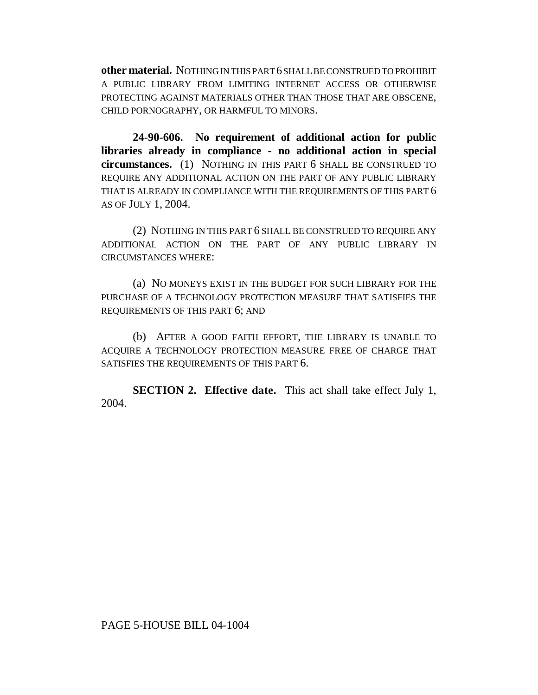**other material.** NOTHING IN THIS PART 6 SHALL BE CONSTRUED TO PROHIBIT A PUBLIC LIBRARY FROM LIMITING INTERNET ACCESS OR OTHERWISE PROTECTING AGAINST MATERIALS OTHER THAN THOSE THAT ARE OBSCENE, CHILD PORNOGRAPHY, OR HARMFUL TO MINORS.

**24-90-606. No requirement of additional action for public libraries already in compliance - no additional action in special circumstances.** (1) NOTHING IN THIS PART 6 SHALL BE CONSTRUED TO REQUIRE ANY ADDITIONAL ACTION ON THE PART OF ANY PUBLIC LIBRARY THAT IS ALREADY IN COMPLIANCE WITH THE REQUIREMENTS OF THIS PART 6 AS OF JULY 1, 2004.

(2) NOTHING IN THIS PART 6 SHALL BE CONSTRUED TO REQUIRE ANY ADDITIONAL ACTION ON THE PART OF ANY PUBLIC LIBRARY IN CIRCUMSTANCES WHERE:

(a) NO MONEYS EXIST IN THE BUDGET FOR SUCH LIBRARY FOR THE PURCHASE OF A TECHNOLOGY PROTECTION MEASURE THAT SATISFIES THE REQUIREMENTS OF THIS PART 6; AND

(b) AFTER A GOOD FAITH EFFORT, THE LIBRARY IS UNABLE TO ACQUIRE A TECHNOLOGY PROTECTION MEASURE FREE OF CHARGE THAT SATISFIES THE REQUIREMENTS OF THIS PART 6.

**SECTION 2. Effective date.** This act shall take effect July 1, 2004.